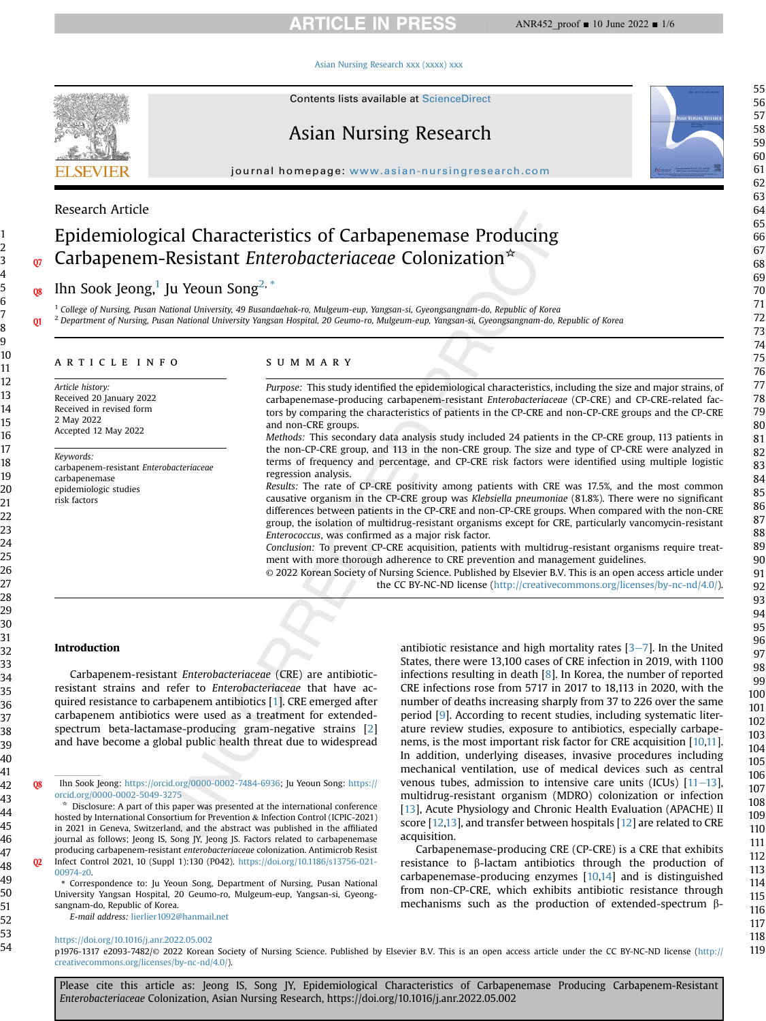# **ARTICLE IN PRESS**

ANR452\_proof ■ 10 June 2022 ■ 1/6

#### [Asian Nursing Research xxx \(xxxx\) xxx](https://doi.org/10.1016/j.anr.2022.05.002)



Contents lists available at ScienceDirect

# Asian Nursing Research

journal homepage: [www.asian-nursingresearch.com](http://www.asian-nursingresearch.com)

# Research Article

# Epidemiological Characteristics of Carbapenemase Producing Carbapenem-Resistant Enterobacteriaceae Colonization\*

Ihn Sook Jeong, $1$  Ju Yeoun Song<sup>2, \*</sup>

<span id="page-0-1"></span><span id="page-0-0"></span><sup>1</sup> College of Nursing, Pusan National University, 49 Busandaehak-ro, Mulgeum-eup, Yangsan-si, Gyeongsangnam-do, Republic of Korea 01<sup>2</sup> Department of Nursing, Pusan National University Yangsan Hospital, 20 Geumo-ro, Mulgeum-eup, Yangsan-si, Gyeongsangnam-do, Republic of Korea

#### article info

Article history: Received 20 January 2022 Received in revised form 2 May 2022 Accepted 12 May 2022

Keywords: carbapenem-resistant Enterobacteriaceae carbapenemase epidemiologic studies risk factors

### summary

Purpose: This study identified the epidemiological characteristics, including the size and major strains, of carbapenemase-producing carbapenem-resistant Enterobacteriaceae (CP-CRE) and CP-CRE-related factors by comparing the characteristics of patients in the CP-CRE and non-CP-CRE groups and the CP-CRE and non-CRE groups.

Methods: This secondary data analysis study included 24 patients in the CP-CRE group, 113 patients in the non-CP-CRE group, and 113 in the non-CRE group. The size and type of CP-CRE were analyzed in terms of frequency and percentage, and CP-CRE risk factors were identified using multiple logistic regression analysis.

Results: The rate of CP-CRE positivity among patients with CRE was 17.5%, and the most common causative organism in the CP-CRE group was Klebsiella pneumoniae (81.8%). There were no significant differences between patients in the CP-CRE and non-CP-CRE groups. When compared with the non-CRE group, the isolation of multidrug-resistant organisms except for CRE, particularly vancomycin-resistant Enterococcus, was confirmed as a major risk factor.

Conclusion: To prevent CP-CRE acquisition, patients with multidrug-resistant organisms require treatment with more thorough adherence to CRE prevention and management guidelines.

© 2022 Korean Society of Nursing Science. Published by Elsevier B.V. This is an open access article under the CC BY-NC-ND license [\(http://creativecommons.org/licenses/by-nc-nd/4.0/](http://creativecommons.org/licenses/by-nc-nd/4.0/)).

> antibiotic resistance and high mortality rates  $[3-7]$  $[3-7]$  $[3-7]$  $[3-7]$  $[3-7]$ . In the United States, there were 13,100 cases of CRE infection in 2019, with 1100 infections resulting in death [\[8\]](#page-4-3). In Korea, the number of reported CRE infections rose from 5717 in 2017 to 18,113 in 2020, with the number of deaths increasing sharply from 37 to 226 over the same period [[9\]](#page-4-4). According to recent studies, including systematic literature review studies, exposure to antibiotics, especially carbapenems, is the most important risk factor for CRE acquisition [[10,](#page-4-5)[11\]](#page-5-0). In addition, underlying diseases, invasive procedures including mechanical ventilation, use of medical devices such as central venous tubes, admission to intensive care units (ICUs)  $[11-13]$  $[11-13]$  $[11-13]$  $[11-13]$ , multidrug-resistant organism (MDRO) colonization or infection [\[13](#page-5-1)], Acute Physiology and Chronic Health Evaluation (APACHE) II score [\[12](#page-5-2)[,13](#page-5-1)], and transfer between hospitals [[12\]](#page-5-2) are related to CRE

> Carbapenemase-producing CRE (CP-CRE) is a CRE that exhibits resistance to  $\beta$ -lactam antibiotics through the production of carbapenemase-producing enzymes [[10](#page-4-5)[,14\]](#page-5-3) and is distinguished from non-CP-CRE, which exhibits antibiotic resistance through mechanisms such as the production of extended-spectrum  $\beta$ -

# Introduction

Carbapenem-resistant Enterobacteriaceae (CRE) are antibioticresistant strains and refer to Enterobacteriaceae that have acquired resistance to carbapenem antibiotics [\[1\]](#page-4-0). CRE emerged after carbapenem antibiotics were used as a treatment for extendedspectrum beta-lactamase-producing gram-negative strains [[2\]](#page-4-1) and have become a global public health threat due to widespread

Disclosure: A part of this paper was presented at the international conference hosted by International Consortium for Prevention & Infection Control (ICPIC-2021) in 2021 in Geneva, Switzerland, and the abstract was published in the affiliated journal as follows; Jeong IS, Song JY, Jeong JS. Factors related to carbapenemase producing carbapenem-resistant enterobacteriaceae colonization. Antimicrob Resist Q2 Infect Control 2021, 10 (Suppl 1):130 (P042). [https://doi.org/10.1186/s13756-021-](https://doi.org/10.1186/s13756-021-00974-z0)

[00974-z0.](https://doi.org/10.1186/s13756-021-00974-z0) \* Correspondence to: Ju Yeoun Song, Department of Nursing, Pusan National University Yangsan Hospital, 20 Geumo-ro, Mulgeum-eup, Yangsan-si, Gyeongsangnam-do, Republic of Korea.

E-mail address: [lierlier1092@hanmail.net](mailto:lierlier1092@hanmail.net)

# <https://doi.org/10.1016/j.anr.2022.05.002>

p1976-1317 e2093-7482/© 2022 Korean Society of Nursing Science. Published by Elsevier B.V. This is an open access article under the CC BY-NC-ND license ([http://](http://creativecommons.org/licenses/by-nc-nd/4.0/) [creativecommons.org/licenses/by-nc-nd/4.0/](http://creativecommons.org/licenses/by-nc-nd/4.0/)).

acquisition.

Please cite this article as: Jeong IS, Song JY, Epidemiological Characteristics of Carbapenemase Producing Carbapenem-Resistant Enterobacteriaceae Colonization, Asian Nursing Research, https://doi.org/10.1016/j.anr.2022.05.002

Q8 Ihn Sook Jeong: [https://orcid.org/0000-0002-7484-6936;](https://orcid.org/0000-0002-7484-6936) Ju Yeoun Song: [https://](https://orcid.org/0000-0002-5049-3275) [orcid.org/0000-0002-5049-3275](https://orcid.org/0000-0002-5049-3275)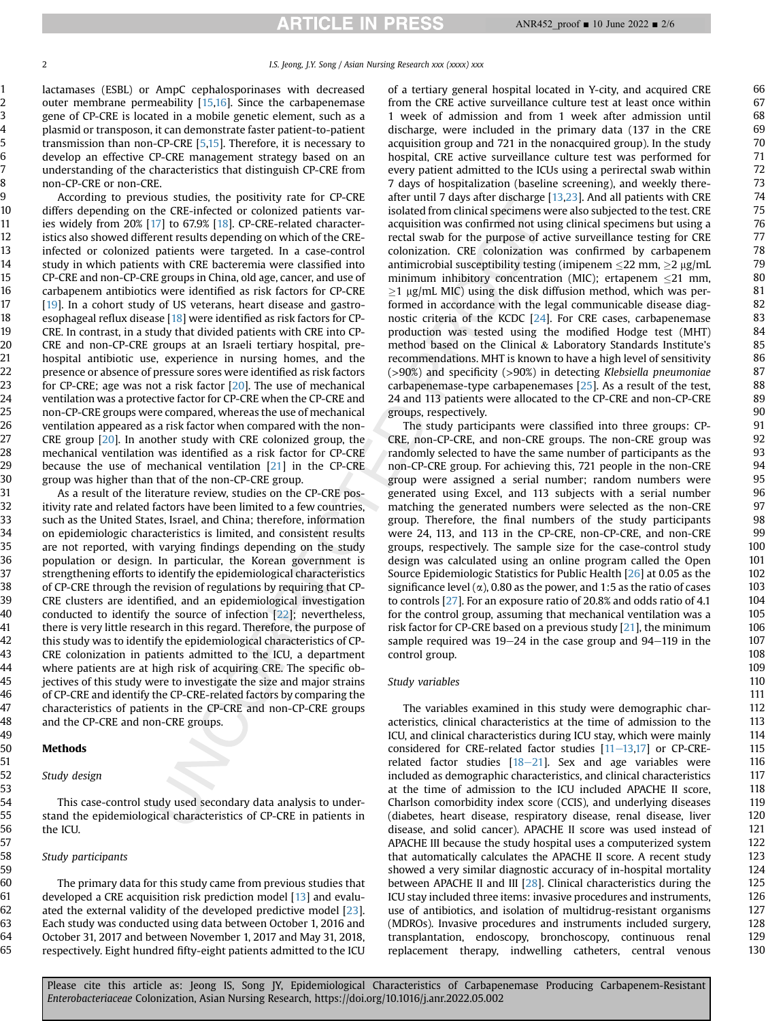lactamases (ESBL) or AmpC cephalosporinases with decreased outer membrane permeability [\[15,](#page-5-4)[16](#page-5-5)]. Since the carbapenemase gene of CP-CRE is located in a mobile genetic element, such as a plasmid or transposon, it can demonstrate faster patient-to-patient transmission than non-CP-CRE [[5](#page-4-6)[,15\]](#page-5-4). Therefore, it is necessary to develop an effective CP-CRE management strategy based on an understanding of the characteristics that distinguish CP-CRE from non-CP-CRE or non-CRE.

According to previous studies, the positivity rate for CP-CRE differs depending on the CRE-infected or colonized patients varies widely from 20% [[17\]](#page-5-6) to 67.9% [[18\]](#page-5-7). CP-CRE-related characteristics also showed different results depending on which of the CREinfected or colonized patients were targeted. In a case-control study in which patients with CRE bacteremia were classified into CP-CRE and non-CP-CRE groups in China, old age, cancer, and use of carbapenem antibiotics were identified as risk factors for CP-CRE [[19\]](#page-5-8). In a cohort study of US veterans, heart disease and gastro-esophageal reflux disease [\[18\]](#page-5-7) were identified as risk factors for CP-CRE. In contrast, in a study that divided patients with CRE into CP-CRE and non-CP-CRE groups at an Israeli tertiary hospital, prehospital antibiotic use, experience in nursing homes, and the presence or absence of pressure sores were identified as risk factors for CP-CRE; age was not a risk factor [[20](#page-5-9)]. The use of mechanical ventilation was a protective factor for CP-CRE when the CP-CRE and non-CP-CRE groups were compared, whereas the use of mechanical ventilation appeared as a risk factor when compared with the non-CRE group [\[20\]](#page-5-9). In another study with CRE colonized group, the mechanical ventilation was identified as a risk factor for CP-CRE because the use of mechanical ventilation [\[21\]](#page-5-10) in the CP-CRE group was higher than that of the non-CP-CRE group.

As a result of the literature review, studies on the CP-CRE positivity rate and related factors have been limited to a few countries, such as the United States, Israel, and China; therefore, information on epidemiologic characteristics is limited, and consistent results are not reported, with varying findings depending on the study population or design. In particular, the Korean government is strengthening efforts to identify the epidemiological characteristics of CP-CRE through the revision of regulations by requiring that CP-CRE clusters are identified, and an epidemiological investigation conducted to identify the source of infection [\[22\]](#page-5-11); nevertheless, there is very little research in this regard. Therefore, the purpose of this study was to identify the epidemiological characteristics of CP-CRE colonization in patients admitted to the ICU, a department where patients are at high risk of acquiring CRE. The specific objectives of this study were to investigate the size and major strains of CP-CRE and identify the CP-CRE-related factors by comparing the characteristics of patients in the CP-CRE and non-CP-CRE groups and the CP-CRE and non-CRE groups.

#### Methods

# Study design

This case-control study used secondary data analysis to understand the epidemiological characteristics of CP-CRE in patients in the ICU.

#### Study participants

The primary data for this study came from previous studies that developed a CRE acquisition risk prediction model [\[13](#page-5-1)] and evaluated the external validity of the developed predictive model [[23](#page-5-12)]. Each study was conducted using data between October 1, 2016 and October 31, 2017 and between November 1, 2017 and May 31, 2018, respectively. Eight hundred fifty-eight patients admitted to the ICU

of a tertiary general hospital located in Y-city, and acquired CRE from the CRE active surveillance culture test at least once within 1 week of admission and from 1 week after admission until discharge, were included in the primary data (137 in the CRE acquisition group and 721 in the nonacquired group). In the study hospital, CRE active surveillance culture test was performed for every patient admitted to the ICUs using a perirectal swab within 7 days of hospitalization (baseline screening), and weekly thereafter until 7 days after discharge [\[13](#page-5-1)[,23\]](#page-5-12). And all patients with CRE isolated from clinical specimens were also subjected to the test. CRE acquisition was confirmed not using clinical specimens but using a rectal swab for the purpose of active surveillance testing for CRE colonization. CRE colonization was confirmed by carbapenem antimicrobial susceptibility testing (imipenem  $\leq$ 22 mm,  $\geq$ 2  $\mu$ g/mL minimum inhibitory concentration (MIC); ertapenem  $\leq$ 21 mm,  $\geq$ 1 µg/mL MIC) using the disk diffusion method, which was performed in accordance with the legal communicable disease diagnostic criteria of the KCDC [\[24\]](#page-5-13). For CRE cases, carbapenemase production was tested using the modified Hodge test (MHT) method based on the Clinical & Laboratory Standards Institute's recommendations. MHT is known to have a high level of sensitivity (>90%) and specificity (>90%) in detecting Klebsiella pneumoniae carbapenemase-type carbapenemases [[25\]](#page-5-14). As a result of the test, 24 and 113 patients were allocated to the CP-CRE and non-CP-CRE groups, respectively.

The study participants were classified into three groups: CP-CRE, non-CP-CRE, and non-CRE groups. The non-CRE group was randomly selected to have the same number of participants as the non-CP-CRE group. For achieving this, 721 people in the non-CRE group were assigned a serial number; random numbers were generated using Excel, and 113 subjects with a serial number matching the generated numbers were selected as the non-CRE group. Therefore, the final numbers of the study participants were 24, 113, and 113 in the CP-CRE, non-CP-CRE, and non-CRE groups, respectively. The sample size for the case-control study design was calculated using an online program called the Open Source Epidemiologic Statistics for Public Health [[26](#page-5-15)] at 0.05 as the significance level  $(\alpha)$ , 0.80 as the power, and 1:5 as the ratio of cases to controls [[27](#page-5-16)]. For an exposure ratio of 20.8% and odds ratio of 4.1 for the control group, assuming that mechanical ventilation was a risk factor for CP-CRE based on a previous study [\[21](#page-5-10)], the minimum sample required was  $19-24$  in the case group and  $94-119$  in the control group.

#### Study variables

The variables examined in this study were demographic characteristics, clinical characteristics at the time of admission to the ICU, and clinical characteristics during ICU stay, which were mainly considered for CRE-related factor studies  $[11–13,17]$  $[11–13,17]$  $[11–13,17]$  $[11–13,17]$  or CP-CRErelated factor studies  $[18-21]$  $[18-21]$  $[18-21]$  $[18-21]$ . Sex and age variables were included as demographic characteristics, and clinical characteristics at the time of admission to the ICU included APACHE II score, Charlson comorbidity index score (CCIS), and underlying diseases (diabetes, heart disease, respiratory disease, renal disease, liver disease, and solid cancer). APACHE II score was used instead of APACHE III because the study hospital uses a computerized system that automatically calculates the APACHE II score. A recent study showed a very similar diagnostic accuracy of in-hospital mortality between APACHE II and III [[28](#page-5-17)]. Clinical characteristics during the ICU stay included three items: invasive procedures and instruments, use of antibiotics, and isolation of multidrug-resistant organisms (MDROs). Invasive procedures and instruments included surgery, transplantation, endoscopy, bronchoscopy, continuous renal replacement therapy, indwelling catheters, central venous

66

Please cite this article as: Jeong IS, Song JY, Epidemiological Characteristics of Carbapenemase Producing Carbapenem-Resistant Enterobacteriaceae Colonization, Asian Nursing Research, https://doi.org/10.1016/j.anr.2022.05.002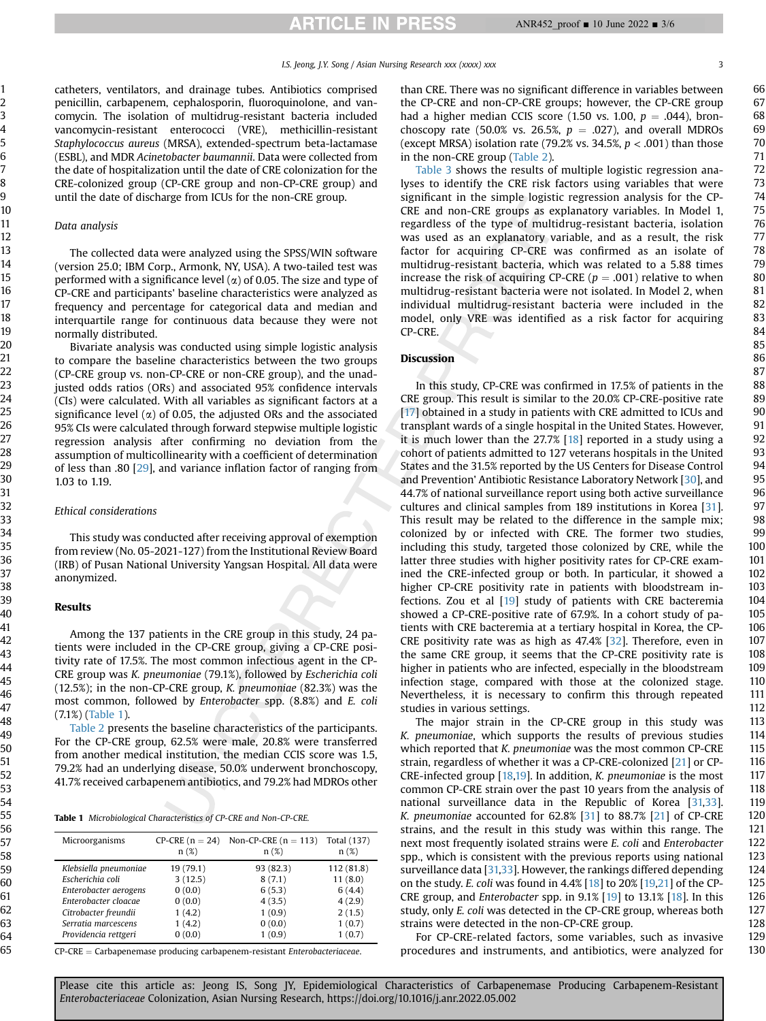1

**ARTICLE IN PRESS** 

I.S. Jeong, J.Y. Song / Asian Nursing Research xxx (xxxx) xxx 3

catheters, ventilators, and drainage tubes. Antibiotics comprised penicillin, carbapenem, cephalosporin, fluoroquinolone, and vancomycin. The isolation of multidrug-resistant bacteria included vancomycin-resistant enterococci (VRE), methicillin-resistant Staphylococcus aureus (MRSA), extended-spectrum beta-lactamase (ESBL), and MDR Acinetobacter baumannii. Data were collected from the date of hospitalization until the date of CRE colonization for the CRE-colonized group (CP-CRE group and non-CP-CRE group) and until the date of discharge from ICUs for the non-CRE group.

#### Data analysis

The collected data were analyzed using the SPSS/WIN software (version 25.0; IBM Corp., Armonk, NY, USA). A two-tailed test was performed with a significance level  $(\alpha)$  of 0.05. The size and type of CP-CRE and participants' baseline characteristics were analyzed as frequency and percentage for categorical data and median and interquartile range for continuous data because they were not normally distributed.

Bivariate analysis was conducted using simple logistic analysis to compare the baseline characteristics between the two groups (CP-CRE group vs. non-CP-CRE or non-CRE group), and the unadjusted odds ratios (ORs) and associated 95% confidence intervals (CIs) were calculated. With all variables as significant factors at a significance level  $(\alpha)$  of 0.05, the adjusted ORs and the associated 95% CIs were calculated through forward stepwise multiple logistic regression analysis after confirming no deviation from the assumption of multicollinearity with a coefficient of determination of less than .80 [\[29\]](#page-5-18), and variance inflation factor of ranging from 1.03 to 1.19.

#### Ethical considerations

This study was conducted after receiving approval of exemption from review (No. 05-2021-127) from the Institutional Review Board (IRB) of Pusan National University Yangsan Hospital. All data were anonymized.

### Results

Among the 137 patients in the CRE group in this study, 24 patients were included in the CP-CRE group, giving a CP-CRE positivity rate of 17.5%. The most common infectious agent in the CP-CRE group was K. pneumoniae (79.1%), followed by Escherichia coli (12.5%); in the non-CP-CRE group, K. pneumoniae (82.3%) was the most common, followed by Enterobacter spp. (8.8%) and E. coli (7.1%) [\(Table 1](#page-2-0)).

[Table 2](#page-3-0) presents the baseline characteristics of the participants. For the CP-CRE group, 62.5% were male, 20.8% were transferred from another medical institution, the median CCIS score was 1.5, 79.2% had an underlying disease, 50.0% underwent bronchoscopy, 41.7% received carbapenem antibiotics, and 79.2% had MDROs other

<span id="page-2-0"></span>

|  | Table 1 Microbiological Characteristics of CP-CRE and Non-CP-CRE. |  |  |  |
|--|-------------------------------------------------------------------|--|--|--|
|--|-------------------------------------------------------------------|--|--|--|

| Microorganisms        | $CP-CRE(n = 24)$<br>n(%) | Non-CP-CRE $(n = 113)$<br>n(%) | Total (137)<br>n(%) |
|-----------------------|--------------------------|--------------------------------|---------------------|
| Klebsiella pneumoniae | 19 (79.1)                | 93(82.3)                       | 112 (81.8)          |
| Escherichia coli      | 3(12.5)                  | 8(7.1)                         | 11(8.0)             |
| Enterobacter aerogens | 0(0.0)                   | 6(5.3)                         | 6(4.4)              |
| Enterobacter cloacae  | 0(0.0)                   | 4(3.5)                         | 4(2.9)              |
| Citrobacter freundii  | 1(4.2)                   | 1(0.9)                         | 2(1.5)              |
| Serratia marcescens   | 1(4.2)                   | 0(0.0)                         | 1(0.7)              |
| Providencia rettgeri  | 0(0.0)                   | 1(0.9)                         | 1(0.7)              |

 $CP$ -CRE = Carbapenemase producing carbapenem-resistant Enterobacteriaceae.

than CRE. There was no significant difference in variables between the CP-CRE and non-CP-CRE groups; however, the CP-CRE group had a higher median CCIS score (1.50 vs. 1.00,  $p = .044$ ), bronchoscopy rate (50.0% vs. 26.5%,  $p = .027$ ), and overall MDROs (except MRSA) isolation rate (79.2% vs. 34.5%,  $p < .001$ ) than those in the non-CRE group [\(Table 2](#page-3-0)).

[Table 3](#page-3-1) shows the results of multiple logistic regression analyses to identify the CRE risk factors using variables that were significant in the simple logistic regression analysis for the CP-CRE and non-CRE groups as explanatory variables. In Model 1, regardless of the type of multidrug-resistant bacteria, isolation was used as an explanatory variable, and as a result, the risk factor for acquiring CP-CRE was confirmed as an isolate of multidrug-resistant bacteria, which was related to a 5.88 times increase the risk of acquiring CP-CRE ( $p = .001$ ) relative to when multidrug-resistant bacteria were not isolated. In Model 2, when individual multidrug-resistant bacteria were included in the model, only VRE was identified as a risk factor for acquiring CP-CRE.

#### Discussion

In this study, CP-CRE was confirmed in 17.5% of patients in the CRE group. This result is similar to the 20.0% CP-CRE-positive rate [\[17](#page-5-6)] obtained in a study in patients with CRE admitted to ICUs and transplant wards of a single hospital in the United States. However, it is much lower than the 27.7% [\[18](#page-5-7)] reported in a study using a cohort of patients admitted to 127 veterans hospitals in the United States and the 31.5% reported by the US Centers for Disease Control and Prevention' Antibiotic Resistance Laboratory Network [\[30\]](#page-5-19), and 44.7% of national surveillance report using both active surveillance cultures and clinical samples from 189 institutions in Korea [[31\]](#page-5-20). This result may be related to the difference in the sample mix; colonized by or infected with CRE. The former two studies, including this study, targeted those colonized by CRE, while the latter three studies with higher positivity rates for CP-CRE examined the CRE-infected group or both. In particular, it showed a higher CP-CRE positivity rate in patients with bloodstream infections. Zou et al [[19\]](#page-5-8) study of patients with CRE bacteremia showed a CP-CRE-positive rate of 67.9%. In a cohort study of patients with CRE bacteremia at a tertiary hospital in Korea, the CP-CRE positivity rate was as high as 47.4% [\[32\]](#page-5-21). Therefore, even in the same CRE group, it seems that the CP-CRE positivity rate is higher in patients who are infected, especially in the bloodstream infection stage, compared with those at the colonized stage. Nevertheless, it is necessary to confirm this through repeated studies in various settings.

The major strain in the CP-CRE group in this study was K. pneumoniae, which supports the results of previous studies which reported that *K. pneumoniae* was the most common CP-CRE strain, regardless of whether it was a CP-CRE-colonized [\[21](#page-5-10)] or CP-CRE-infected group [\[18](#page-5-7)[,19](#page-5-8)]. In addition, K. pneumoniae is the most common CP-CRE strain over the past 10 years from the analysis of national surveillance data in the Republic of Korea [[31,](#page-5-20)[33\]](#page-5-22). K. pneumoniae accounted for 62.8% [\[31\]](#page-5-20) to 88.7% [[21\]](#page-5-10) of CP-CRE strains, and the result in this study was within this range. The next most frequently isolated strains were E. coli and Enterobacter spp., which is consistent with the previous reports using national surveillance data [\[31,](#page-5-20)[33](#page-5-22)]. However, the rankings differed depending on the study. E. coli was found in  $4.4\%$  [[18](#page-5-7)] to 20% [[19,](#page-5-8)[21\]](#page-5-10) of the CP-CRE group, and *Enterobacter* spp. in  $9.1\%$  [\[19](#page-5-8)] to  $13.1\%$  [[18\]](#page-5-7). In this study, only E. coli was detected in the CP-CRE group, whereas both strains were detected in the non-CP-CRE group.

For CP-CRE-related factors, some variables, such as invasive procedures and instruments, and antibiotics, were analyzed for

Please cite this article as: Jeong IS, Song JY, Epidemiological Characteristics of Carbapenemase Producing Carbapenem-Resistant Enterobacteriaceae Colonization, Asian Nursing Research, https://doi.org/10.1016/j.anr.2022.05.002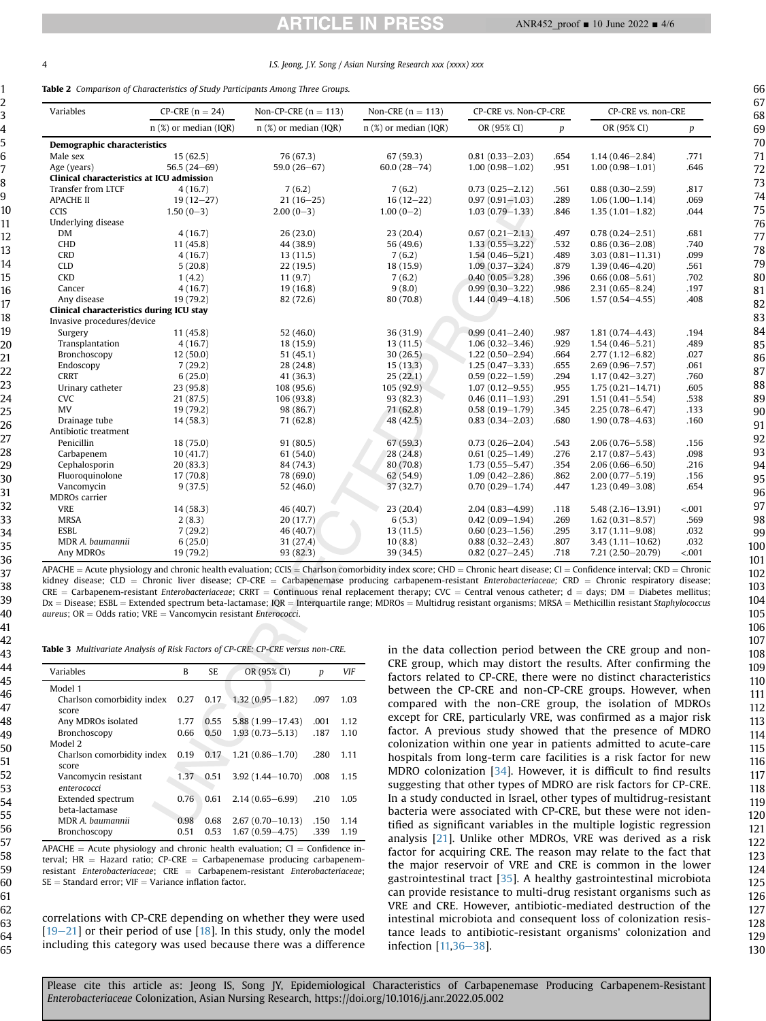4 I.S. Jeong, J.Y. Song / Asian Nursing Research xxx (xxxx) xxx

<span id="page-3-0"></span>Table 2 Comparison of Characteristics of Study Participants Among Three Groups.

| Variables                                 | $CP-CRE (n = 24)$       | Non-CP-CRE $(n = 113)$  | Non-CRE $(n = 113)$     | CP-CRE vs. Non-CP-CRE |             | CP-CRE vs. non-CRE   |             |  |
|-------------------------------------------|-------------------------|-------------------------|-------------------------|-----------------------|-------------|----------------------|-------------|--|
|                                           | $n$ (%) or median (IQR) | $n$ (%) or median (IQR) | $n$ (%) or median (IQR) | OR (95% CI)           | $p_{\perp}$ | OR (95% CI)          | $p_{\perp}$ |  |
| Demographic characteristics               |                         |                         |                         |                       |             |                      |             |  |
| Male sex                                  | 15(62.5)                | 76 (67.3)               | 67 (59.3)               | $0.81(0.33 - 2.03)$   | .654        | $1.14(0.46 - 2.84)$  | .771        |  |
| Age (years)                               | 56.5 $(24-69)$          | 59.0 $(26-67)$          | $60.0(28 - 74)$         | $1.00(0.98 - 1.02)$   | .951        | $1.00(0.98 - 1.01)$  | .646        |  |
| Clinical characteristics at ICU admission |                         |                         |                         |                       |             |                      |             |  |
| Transfer from LTCF                        | 4(16.7)                 | 7(6.2)                  | 7(6.2)                  | $0.73(0.25 - 2.12)$   | .561        | $0.88(0.30 - 2.59)$  | .817        |  |
| <b>APACHE II</b>                          | $19(12-27)$             | $21(16-25)$             | $16(12-22)$             | $0.97(0.91 - 1.03)$   | .289        | $1.06(1.00-1.14)$    | .069        |  |
| <b>CCIS</b>                               | $1.50(0-3)$             | $2.00(0-3)$             | $1.00(0-2)$             | $1.03(0.79 - 1.33)$   | .846        | $1.35(1.01 - 1.82)$  | .044        |  |
| Underlying disease                        |                         |                         |                         |                       |             |                      |             |  |
| <b>DM</b>                                 | 4(16.7)                 | 26(23.0)                | 23 (20.4)               | $0.67(0.21 - 2.13)$   | .497        | $0.78(0.24 - 2.51)$  | .681        |  |
| CHD                                       | 11(45.8)                | 44 (38.9)               | 56 (49.6)               | $1.33(0.55 - 3.22)$   | .532        | $0.86(0.36 - 2.08)$  | .740        |  |
| CRD                                       | 4(16.7)                 | 13(11.5)                | 7(6.2)                  | $1.54(0.46 - 5.21)$   | .489        | $3.03(0.81 - 11.31)$ | .099        |  |
| CLD                                       | 5(20.8)                 | 22(19.5)                | 18 (15.9)               | $1.09(0.37 - 3.24)$   | .879        | $1.39(0.46 - 4.20)$  | .561        |  |
| <b>CKD</b>                                | 1(4.2)                  | 11(9.7)                 | 7(6.2)                  | $0.40(0.05 - 3.28)$   | .396        | $0.66(0.08 - 5.61)$  | .702        |  |
| Cancer                                    | 4(16.7)                 | 19(16.8)                | 9(8.0)                  | $0.99(0.30 - 3.22)$   | .986        | $2.31(0.65 - 8.24)$  | .197        |  |
| Any disease                               | 19 (79.2)               | 82 (72.6)               | 80 (70.8)               | $1.44(0.49 - 4.18)$   | .506        | $1.57(0.54 - 4.55)$  | .408        |  |
| Clinical characteristics during ICU stay  |                         |                         |                         |                       |             |                      |             |  |
| Invasive procedures/device                |                         |                         |                         |                       |             |                      |             |  |
| Surgery                                   | 11(45.8)                | 52(46.0)                | 36(31.9)                | $0.99(0.41 - 2.40)$   | .987        | $1.81(0.74 - 4.43)$  | .194        |  |
| Transplantation                           | 4(16.7)                 | 18 (15.9)               | 13(11.5)                | $1.06(0.32 - 3.46)$   | .929        | $1.54(0.46 - 5.21)$  | .489        |  |
| Bronchoscopy                              | 12(50.0)                | 51(45.1)                | 30(26.5)                | $1.22(0.50 - 2.94)$   | .664        | $2.77(1.12 - 6.82)$  | .027        |  |
| Endoscopy                                 | 7(29.2)                 | 28 (24.8)               | 15(13.3)                | $1.25(0.47 - 3.33)$   | .655        | $2.69(0.96 - 7.57)$  | .061        |  |
| <b>CRRT</b>                               | 6(25.0)                 | 41 (36.3)               | 25(22.1)                | $0.59(0.22 - 1.59)$   | .294        | $1.17(0.42 - 3.27)$  | .760        |  |
| Urinary catheter                          | 23(95.8)                | 108(95.6)               | 105 (92.9)              | $1.07(0.12 - 9.55)$   | .955        | $1.75(0.21 - 14.71)$ | .605        |  |
| CVC                                       | 21(87.5)                | 106(93.8)               | 93(82.3)                | $0.46(0.11 - 1.93)$   | .291        | $1.51(0.41 - 5.54)$  | .538        |  |
| MV                                        | 19 (79.2)               | 98 (86.7)               | 71(62.8)                | $0.58(0.19 - 1.79)$   | .345        | $2.25(0.78 - 6.47)$  | .133        |  |
| Drainage tube                             | 14(58.3)                | 71 (62.8)               | 48 (42.5)               | $0.83(0.34 - 2.03)$   | .680        | $1.90(0.78 - 4.63)$  | .160        |  |
| Antibiotic treatment                      |                         |                         |                         |                       |             |                      |             |  |
| Penicillin                                | 18(75.0)                | 91(80.5)                | 67 (59.3)               | $0.73(0.26 - 2.04)$   | .543        | $2.06(0.76 - 5.58)$  | .156        |  |
| Carbapenem                                | 10(41.7)                | 61(54.0)                | 28 (24.8)               | $0.61(0.25 - 1.49)$   | .276        | $2.17(0.87 - 5.43)$  | .098        |  |
| Cephalosporin                             | 20(83.3)                | 84 (74.3)               | 80 (70.8)               | $1.73(0.55 - 5.47)$   | .354        | $2.06(0.66 - 6.50)$  | .216        |  |
| Fluoroquinolone                           | 17(70.8)                | 78 (69.0)               | 62 (54.9)               | $1.09(0.42 - 2.86)$   | .862        | $2.00(0.77 - 5.19)$  | .156        |  |
| Vancomycin                                | 9(37.5)                 | 52(46.0)                | 37 (32.7)               | $0.70(0.29 - 1.74)$   | .447        | $1.23(0.49 - 3.08)$  | .654        |  |
| MDROs carrier                             |                         |                         |                         |                       |             |                      |             |  |
| <b>VRE</b>                                | 14(58.3)                | 46 (40.7)               | 23(20.4)                | $2.04(0.83 - 4.99)$   | .118        | $5.48(2.16 - 13.91)$ | < .001      |  |
| <b>MRSA</b>                               | 2(8.3)                  | 20(17.7)                | 6(5.3)                  | $0.42(0.09 - 1.94)$   | .269        | $1.62(0.31 - 8.57)$  | .569        |  |
| <b>ESBL</b>                               | 7(29.2)                 | 46 (40.7)               | 13(11.5)                | $0.60(0.23 - 1.56)$   | .295        | $3.17(1.11 - 9.08)$  | .032        |  |
| MDR A. baumannii                          | 6(25.0)                 | 31(27.4)                | 10(8.8)                 | $0.88(0.32 - 2.43)$   | .807        | $3.43(1.11 - 10.62)$ | .032        |  |
| Any MDROs                                 | 19 (79.2)               | 93 (82.3)               | 39 (34.5)               | $0.82(0.27 - 2.45)$   | .718        | 7.21 (2.50-20.79)    | < .001      |  |

 $APACHE = Acute$  physiology and chronic health evaluation; CCIS = Charlson comorbidity index score; CHD = Chronic heart disease; CI = Confidence interval; CKD = Chronic kidney disease; CLD = Chronic liver disease; CP-CRE = Carbapenemase producing carbapenem-resistant Enterobacteriaceae; CRD = Chronic respiratory disease; = Carbapenem-resistant Enterobacteriaceae; CRRT = Continuous renal replacement therapy; CVC = Central venous catheter; d = days; DM = Diabetes mellitus;  $Dx = Discase$ ; ESBL = Extended spectrum beta-lactamase; IQR = Interquartile range; MDROs = Multidrug resistant organisms; MRSA = Methicillin resistant Staphylococcus aureus;  $OR = Odds$  ratio;  $VRE = Vancomycin$  resistant *Enterococci*.

<span id="page-3-1"></span>

|  | <b>Table 3</b> Multivariate Analysis of Risk Factors of CP-CRE: CP-CRE versus non-CRE. |  |  |  |  |  |  |  |  |  |  |
|--|----------------------------------------------------------------------------------------|--|--|--|--|--|--|--|--|--|--|
|--|----------------------------------------------------------------------------------------|--|--|--|--|--|--|--|--|--|--|

| Variables                  | B    | <b>SE</b> | OR (95% CI)          | p    | <b>VIF</b> |
|----------------------------|------|-----------|----------------------|------|------------|
| Model 1                    |      |           |                      |      |            |
| Charlson comorbidity index | 0.27 | 0.17      | $1.32(0.95 - 1.82)$  | .097 | 1.03       |
| score                      |      |           |                      |      |            |
| Any MDROs isolated         | 1.77 | 0.55      | $5.88(1.99 - 17.43)$ | .001 | 1.12       |
| Bronchoscopy               | 0.66 | 0.50      | $1.93(0.73 - 5.13)$  | .187 | 1.10       |
| Model 2                    |      |           |                      |      |            |
| Charlson comorbidity index | 0.19 | 0.17      | $1.21(0.86 - 1.70)$  | .280 | 1.11       |
| score                      |      |           |                      |      |            |
| Vancomycin resistant       | 1.37 | 0.51      | $3.92(1.44 - 10.70)$ | .008 | 1.15       |
| enterococci                |      |           |                      |      |            |
| Extended spectrum          | 0.76 | 0.61      | $2.14(0.65 - 6.99)$  | .210 | 1.05       |
| beta-lactamase             |      |           |                      |      |            |
| MDR A. baumannii           | 0.98 | 0.68      | $2.67(0.70 - 10.13)$ | .150 | 1.14       |
| Bronchoscopy               | 0.51 | 0.53      | $1.67(0.59 - 4.75)$  | .339 | 1.19       |

APACHE = Acute physiology and chronic health evaluation;  $CI =$  Confidence interval;  $HR = Hazard$  ratio;  $CP-CRE = Carbapenemase producing carbapenem$ resistant Enterobacteriaceae; CRE = Carbapenem-resistant Enterobacteriaceae;  $SE = Standard$  error:  $VIF = Variance$  inflation factor.

correlations with CP-CRE depending on whether they were used  $[19-21]$  $[19-21]$  $[19-21]$  $[19-21]$  $[19-21]$  or their period of use  $[18]$  $[18]$  $[18]$ . In this study, only the model including this category was used because there was a difference

in the data collection period between the CRE group and non-CRE group, which may distort the results. After confirming the factors related to CP-CRE, there were no distinct characteristics between the CP-CRE and non-CP-CRE groups. However, when compared with the non-CRE group, the isolation of MDROs except for CRE, particularly VRE, was confirmed as a major risk factor. A previous study showed that the presence of MDRO colonization within one year in patients admitted to acute-care hospitals from long-term care facilities is a risk factor for new MDRO colonization [[34](#page-5-23)]. However, it is difficult to find results suggesting that other types of MDRO are risk factors for CP-CRE. In a study conducted in Israel, other types of multidrug-resistant bacteria were associated with CP-CRE, but these were not identified as significant variables in the multiple logistic regression analysis  $[21]$ . Unlike other MDROs, VRE was derived as a risk factor for acquiring CRE. The reason may relate to the fact that the major reservoir of VRE and CRE is common in the lower gastrointestinal tract [\[35\]](#page-5-24). A healthy gastrointestinal microbiota can provide resistance to multi-drug resistant organisms such as VRE and CRE. However, antibiotic-mediated destruction of the intestinal microbiota and consequent loss of colonization resistance leads to antibiotic-resistant organisms' colonization and infection  $[11,36-38]$  $[11,36-38]$  $[11,36-38]$  $[11,36-38]$  $[11,36-38]$ .

95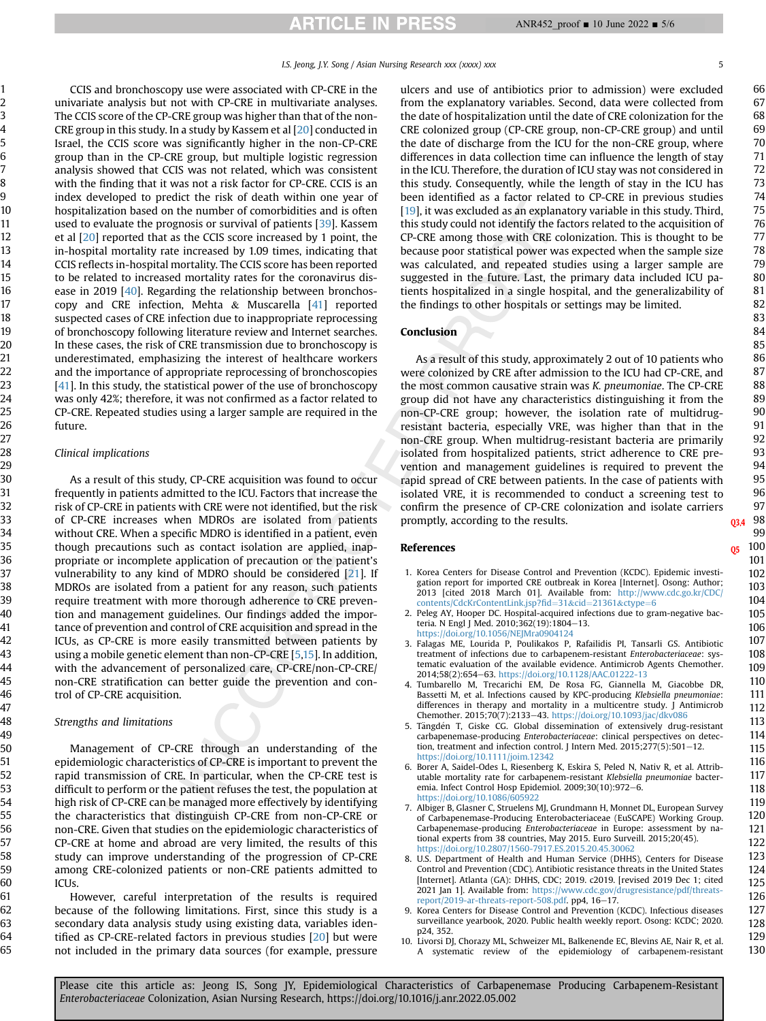**ARTICLE IN PRESS** 

I.S. Jeong, J.Y. Song / Asian Nursing Research xxx (xxxx) xxx 5

CCIS and bronchoscopy use were associated with CP-CRE in the univariate analysis but not with CP-CRE in multivariate analyses. The CCIS score of the CP-CRE group was higher than that of the non-CRE group in this study. In a study by Kassem et al [\[20](#page-5-9)] conducted in Israel, the CCIS score was significantly higher in the non-CP-CRE group than in the CP-CRE group, but multiple logistic regression analysis showed that CCIS was not related, which was consistent with the finding that it was not a risk factor for CP-CRE. CCIS is an index developed to predict the risk of death within one year of hospitalization based on the number of comorbidities and is often used to evaluate the prognosis or survival of patients [\[39\]](#page-5-26). Kassem et al [[20\]](#page-5-9) reported that as the CCIS score increased by 1 point, the in-hospital mortality rate increased by 1.09 times, indicating that CCIS reflects in-hospital mortality. The CCIS score has been reported to be related to increased mortality rates for the coronavirus disease in 2019 [[40](#page-5-27)]. Regarding the relationship between bronchoscopy and CRE infection, Mehta & Muscarella [[41\]](#page-5-28) reported suspected cases of CRE infection due to inappropriate reprocessing of bronchoscopy following literature review and Internet searches. In these cases, the risk of CRE transmission due to bronchoscopy is underestimated, emphasizing the interest of healthcare workers and the importance of appropriate reprocessing of bronchoscopies [\[41](#page-5-28)]. In this study, the statistical power of the use of bronchoscopy was only 42%; therefore, it was not confirmed as a factor related to CP-CRE. Repeated studies using a larger sample are required in the future.

# Clinical implications

As a result of this study, CP-CRE acquisition was found to occur frequently in patients admitted to the ICU. Factors that increase the risk of CP-CRE in patients with CRE were not identified, but the risk of CP-CRE increases when MDROs are isolated from patients without CRE. When a specific MDRO is identified in a patient, even though precautions such as contact isolation are applied, inappropriate or incomplete application of precaution or the patient's vulnerability to any kind of MDRO should be considered [[21](#page-5-10)]. If MDROs are isolated from a patient for any reason, such patients require treatment with more thorough adherence to CRE prevention and management guidelines. Our findings added the importance of prevention and control of CRE acquisition and spread in the ICUs, as CP-CRE is more easily transmitted between patients by using a mobile genetic element than non-CP-CRE [\[5](#page-4-6),[15](#page-5-4)]. In addition, with the advancement of personalized care, CP-CRE/non-CP-CRE/ non-CRE stratification can better guide the prevention and control of CP-CRE acquisition.

# Strengths and limitations

Management of CP-CRE through an understanding of the epidemiologic characteristics of CP-CRE is important to prevent the rapid transmission of CRE. In particular, when the CP-CRE test is difficult to perform or the patient refuses the test, the population at high risk of CP-CRE can be managed more effectively by identifying the characteristics that distinguish CP-CRE from non-CP-CRE or non-CRE. Given that studies on the epidemiologic characteristics of CP-CRE at home and abroad are very limited, the results of this study can improve understanding of the progression of CP-CRE among CRE-colonized patients or non-CRE patients admitted to ICUs.

However, careful interpretation of the results is required because of the following limitations. First, since this study is a secondary data analysis study using existing data, variables identified as CP-CRE-related factors in previous studies [\[20](#page-5-9)] but were not included in the primary data sources (for example, pressure ulcers and use of antibiotics prior to admission) were excluded from the explanatory variables. Second, data were collected from the date of hospitalization until the date of CRE colonization for the CRE colonized group (CP-CRE group, non-CP-CRE group) and until the date of discharge from the ICU for the non-CRE group, where differences in data collection time can influence the length of stay in the ICU. Therefore, the duration of ICU stay was not considered in this study. Consequently, while the length of stay in the ICU has been identified as a factor related to CP-CRE in previous studies [\[19](#page-5-8)], it was excluded as an explanatory variable in this study. Third, this study could not identify the factors related to the acquisition of CP-CRE among those with CRE colonization. This is thought to be because poor statistical power was expected when the sample size was calculated, and repeated studies using a larger sample are suggested in the future. Last, the primary data included ICU patients hospitalized in a single hospital, and the generalizability of the findings to other hospitals or settings may be limited.

# Conclusion

As a result of this study, approximately 2 out of 10 patients who were colonized by CRE after admission to the ICU had CP-CRE, and the most common causative strain was K. pneumoniae. The CP-CRE group did not have any characteristics distinguishing it from the non-CP-CRE group; however, the isolation rate of multidrugresistant bacteria, especially VRE, was higher than that in the non-CRE group. When multidrug-resistant bacteria are primarily isolated from hospitalized patients, strict adherence to CRE prevention and management guidelines is required to prevent the rapid spread of CRE between patients. In the case of patients with isolated VRE, it is recommended to conduct a screening test to confirm the presence of CP-CRE colonization and isolate carriers promptly, according to the results.  $q_{3,4}$ 

# References and the contract of the contract of the contract of the contract of the contract of the contract of the contract of the contract of the contract of the contract of the contract of the contract of the contract of

- <span id="page-4-0"></span>1. Korea Centers for Disease Control and Prevention (KCDC). Epidemic investigation report for imported CRE outbreak in Korea [Internet]. Osong: Author; 2013 [cited 2018 March 01]. Available from: [http://www.cdc.go.kr/CDC/](http://www.cdc.go.kr/CDC/contents/CdcKrContentLink.jsp?fid=31&cid=21361&ctype=6) [contents/CdcKrContentLink.jsp?](http://www.cdc.go.kr/CDC/contents/CdcKrContentLink.jsp?fid=31&cid=21361&ctype=6)fid=[31](http://www.cdc.go.kr/CDC/contents/CdcKrContentLink.jsp?fid=31&cid=21361&ctype=6)&[cid](http://www.cdc.go.kr/CDC/contents/CdcKrContentLink.jsp?fid=31&cid=21361&ctype=6)=[21361](http://www.cdc.go.kr/CDC/contents/CdcKrContentLink.jsp?fid=31&cid=21361&ctype=6)&[ctype](http://www.cdc.go.kr/CDC/contents/CdcKrContentLink.jsp?fid=31&cid=21361&ctype=6)=[6](http://www.cdc.go.kr/CDC/contents/CdcKrContentLink.jsp?fid=31&cid=21361&ctype=6)
- <span id="page-4-1"></span>2. Peleg AY, Hooper DC. Hospital-acquired infections due to gram-negative bacteria. N Engl J Med. 2010;362(19):1804-13. <https://doi.org/10.1056/NEJMra0904124>
- <span id="page-4-2"></span>3. Falagas ME, Lourida P, Poulikakos P, Rafailidis PI, Tansarli GS. Antibiotic treatment of infections due to carbapenem-resistant Enterobacteriaceae: systematic evaluation of the available evidence. Antimicrob Agents Chemother. 2014;58(2):654-63. <https://doi.org/10.1128/AAC.01222-13>
- 4. Tumbarello M, Trecarichi EM, De Rosa FG, Giannella M, Giacobbe DR, Bassetti M, et al. Infections caused by KPC-producing Klebsiella pneumoniae: differences in therapy and mortality in a multicentre study. J Antimicrob Chemother. 2015;70(7):2133-43. <https://doi.org/10.1093/jac/dkv086>
- <span id="page-4-6"></span>5. Tängdén T, Giske CG. Global dissemination of extensively drug-resistant carbapenemase-producing Enterobacteriaceae: clinical perspectives on detection, treatment and infection control. J Intern Med.  $2015;277(5):501-12$ . <https://doi.org/10.1111/joim.12342>
- 6. Borer A, Saidel-Odes L, Riesenberg K, Eskira S, Peled N, Nativ R, et al. Attributable mortality rate for carbapenem-resistant Klebsiella pneumoniae bacteremia. Infect Control Hosp Epidemiol. 2009;30(10):972-6. <https://doi.org/10.1086/605922>
- 7. Albiger B, Glasner C, Struelens MJ, Grundmann H, Monnet DL, European Survey of Carbapenemase-Producing Enterobacteriaceae (EuSCAPE) Working Group. Carbapenemase-producing Enterobacteriaceae in Europe: assessment by national experts from 38 countries, May 2015. Euro Surveill. 2015;20(45). <https://doi.org/10.2807/1560-7917.ES.2015.20.45.30062>
- <span id="page-4-3"></span>8. U.S. Department of Health and Human Service (DHHS), Centers for Disease Control and Prevention (CDC). Antibiotic resistance threats in the United States [Internet]. Atlanta (GA): DHHS, CDC; 2019. c2019. [revised 2019 Dec 1; cited 2021 Jan 1]. Available from: [https://www.cdc.gov/drugresistance/pdf/threats](https://www.cdc.gov/drugresistance/pdf/threats-report/2019-ar-threats-report-508.pdf)[report/2019-ar-threats-report-508.pdf.](https://www.cdc.gov/drugresistance/pdf/threats-report/2019-ar-threats-report-508.pdf) pp4, 16-17.
- <span id="page-4-4"></span>9. Korea Centers for Disease Control and Prevention (KCDC). Infectious diseases surveillance yearbook, 2020. Public health weekly report. Osong: KCDC; 2020. p24, 352.
- <span id="page-4-5"></span>10. Livorsi DJ, Chorazy ML, Schweizer ML, Balkenende EC, Blevins AE, Nair R, et al. A systematic review of the epidemiology of carbapenem-resistant

Please cite this article as: Jeong IS, Song JY, Epidemiological Characteristics of Carbapenemase Producing Carbapenem-Resistant Enterobacteriaceae Colonization, Asian Nursing Research, https://doi.org/10.1016/j.anr.2022.05.002

97 98 99

100 101 102

> 103 104